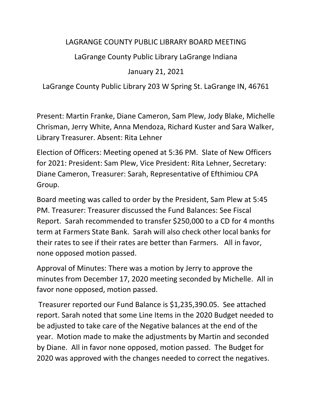## LAGRANGE COUNTY PUBLIC LIBRARY BOARD MEETING

LaGrange County Public Library LaGrange Indiana

January 21, 2021

LaGrange County Public Library 203 W Spring St. LaGrange IN, 46761

Present: Martin Franke, Diane Cameron, Sam Plew, Jody Blake, Michelle Chrisman, Jerry White, Anna Mendoza, Richard Kuster and Sara Walker, Library Treasurer. Absent: Rita Lehner

Election of Officers: Meeting opened at 5:36 PM. Slate of New Officers for 2021: President: Sam Plew, Vice President: Rita Lehner, Secretary: Diane Cameron, Treasurer: Sarah, Representative of Efthimiou CPA Group.

Board meeting was called to order by the President, Sam Plew at 5:45 PM. Treasurer: Treasurer discussed the Fund Balances: See Fiscal Report. Sarah recommended to transfer \$250,000 to a CD for 4 months term at Farmers State Bank. Sarah will also check other local banks for their rates to see if their rates are better than Farmers. All in favor, none opposed motion passed.

Approval of Minutes: There was a motion by Jerry to approve the minutes from December 17, 2020 meeting seconded by Michelle. All in favor none opposed, motion passed.

Treasurer reported our Fund Balance is \$1,235,390.05. See attached report. Sarah noted that some Line Items in the 2020 Budget needed to be adjusted to take care of the Negative balances at the end of the year. Motion made to make the adjustments by Martin and seconded by Diane. All in favor none opposed, motion passed. The Budget for 2020 was approved with the changes needed to correct the negatives.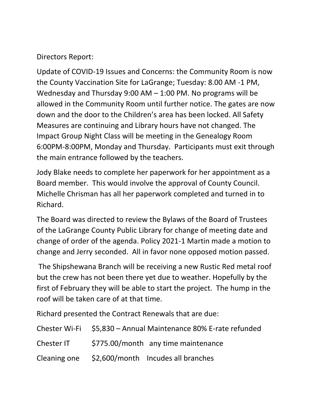## Directors Report:

Update of COVID-19 Issues and Concerns: the Community Room is now the County Vaccination Site for LaGrange; Tuesday: 8.00 AM -1 PM, Wednesday and Thursday 9:00 AM – 1:00 PM. No programs will be allowed in the Community Room until further notice. The gates are now down and the door to the Children's area has been locked. All Safety Measures are continuing and Library hours have not changed. The Impact Group Night Class will be meeting in the Genealogy Room 6:00PM-8:00PM, Monday and Thursday. Participants must exit through the main entrance followed by the teachers.

Jody Blake needs to complete her paperwork for her appointment as a Board member. This would involve the approval of County Council. Michelle Chrisman has all her paperwork completed and turned in to Richard.

The Board was directed to review the Bylaws of the Board of Trustees of the LaGrange County Public Library for change of meeting date and change of order of the agenda. Policy 2021-1 Martin made a motion to change and Jerry seconded. All in favor none opposed motion passed.

The Shipshewana Branch will be receiving a new Rustic Red metal roof but the crew has not been there yet due to weather. Hopefully by the first of February they will be able to start the project. The hump in the roof will be taken care of at that time.

Richard presented the Contract Renewals that are due:

|            | Chester Wi-Fi \$5,830 - Annual Maintenance 80% E-rate refunded |
|------------|----------------------------------------------------------------|
| Chester IT | \$775.00/month any time maintenance                            |
|            | Cleaning one \$2,600/month Incudes all branches                |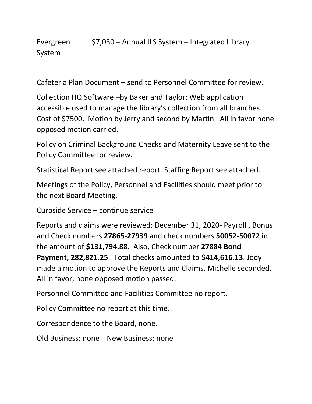Evergreen \$7,030 – Annual ILS System – Integrated Library System

Cafeteria Plan Document – send to Personnel Committee for review.

Collection HQ Software –by Baker and Taylor; Web application accessible used to manage the library's collection from all branches. Cost of \$7500. Motion by Jerry and second by Martin. All in favor none opposed motion carried.

Policy on Criminal Background Checks and Maternity Leave sent to the Policy Committee for review.

Statistical Report see attached report. Staffing Report see attached.

Meetings of the Policy, Personnel and Facilities should meet prior to the next Board Meeting.

Curbside Service – continue service

Reports and claims were reviewed: December 31, 2020- Payroll , Bonus and Check numbers **27865-27939** and check numbers **50052-50072** in the amount of **\$131,794.88.** Also, Check number **27884 Bond Payment, 282,821.25**. Total checks amounted to \$**414,616.13**. Jody made a motion to approve the Reports and Claims, Michelle seconded. All in favor, none opposed motion passed.

Personnel Committee and Facilities Committee no report.

Policy Committee no report at this time.

Correspondence to the Board, none.

Old Business: none New Business: none